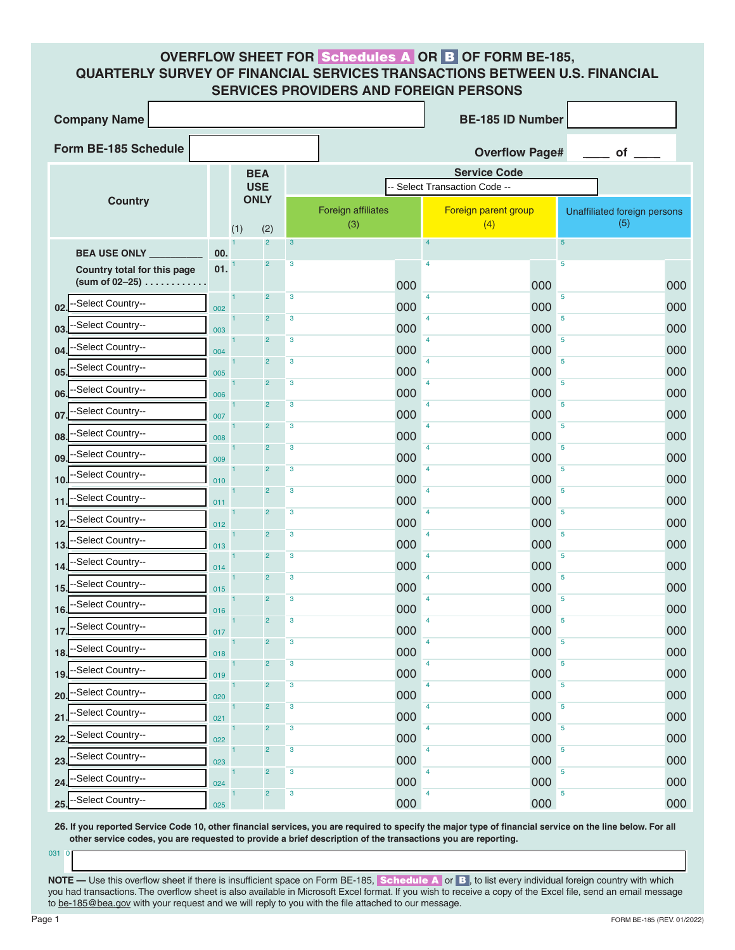## **OVERFLOW SHEET FOR** Schedules A **OR** B **OF FORM BE-185, QUARTERLY SURVEY OF FINANCIAL SERVICES TRANSACTIONS BETWEEN U.S. FINANCIAL SERVICES PROVIDERS AND FOREIGN PERSONS**

| <b>Company Name</b>                                    |     |             |                         | <b>BE-185 ID Number</b> |                            |                             |                      |                              |  |  |
|--------------------------------------------------------|-----|-------------|-------------------------|-------------------------|----------------------------|-----------------------------|----------------------|------------------------------|--|--|
| Form BE-185 Schedule                                   |     |             |                         |                         |                            | <b>Overflow Page#</b><br>of |                      |                              |  |  |
| <b>BEA</b>                                             |     |             |                         |                         |                            |                             | <b>Service Code</b>  |                              |  |  |
|                                                        |     | <b>USE</b>  |                         |                         | Select Transaction Code -- |                             |                      |                              |  |  |
| <b>Country</b>                                         |     | <b>ONLY</b> |                         |                         | <b>Foreign affiliates</b>  |                             | Foreign parent group | Unaffiliated foreign persons |  |  |
|                                                        |     | (1)         | (2)<br>$\overline{2}$   | $\mathbf{3}$            | (3)                        | $\overline{4}$              | (4)                  | (5)<br>$\sqrt{5}$            |  |  |
| <b>BEA USE ONLY</b>                                    | 00. |             | $\overline{c}$          | $\mathbf{3}$            |                            | 4                           |                      | 5                            |  |  |
| Country total for this page<br>(sum of 02-25) $\ldots$ | 01. |             |                         |                         | 000                        |                             | 000                  | 000                          |  |  |
| -Select Country--<br>02                                | 002 |             | $\overline{2}$          | $\mathbf{3}$            | 000                        | $\overline{4}$              | 000                  | 5<br>000                     |  |  |
| Select Country--<br>03                                 | 003 |             | $\overline{2}$          | $\mathbf{3}$            | 000                        | $\overline{4}$              | 000                  | 5<br>000                     |  |  |
| Select Country--<br>04                                 | 004 |             | $\overline{2}$          | $\mathbf{3}$            | 000                        | $\overline{4}$              | 000                  | 5<br>000                     |  |  |
| -Select Country--<br>05                                | 005 |             | $\overline{2}$          | $\mathbf{3}$            | 000                        | $\overline{4}$              | 000                  | 5<br>000                     |  |  |
| -Select Country--<br>06                                | 006 |             | $\overline{2}$          | $\mathbf{3}$            | 000                        | 4                           | 000                  | 5<br>000                     |  |  |
| Select Country--<br>07                                 | 007 |             | $\overline{2}$          | $\mathbf{3}$            | 000                        | $\overline{4}$              | 000                  | 5<br>000                     |  |  |
| -Select Country--<br>08.                               | 008 |             | $\overline{2}$          | $\mathbf{3}$            | 000                        | $\overline{4}$              | 000                  | 5<br>000                     |  |  |
| -Select Country--<br>09                                | 009 |             | $\overline{2}$          | $\mathbf{3}$            | 000                        | 4                           | 000                  | 5<br>000                     |  |  |
| Select Country--<br>10                                 | 010 |             | $\overline{2}$          | $\mathbf{3}$            | 000                        | 4                           | 000                  | 5<br>000                     |  |  |
| Select Country--<br>11                                 | 011 |             | $\overline{2}$          | $\mathbf{3}$            | 000                        | $\overline{4}$              | 000                  | 5<br>000                     |  |  |
| Select Country--<br>12                                 | 012 |             | $\overline{2}$          | $\mathbf{3}$            | 000                        | 4                           | 000                  | 5<br>000                     |  |  |
| Select Country--<br>13                                 | 013 |             | $\overline{2}$          | $\mathbf{3}$            | 000                        | 4                           | 000                  | 5<br>000                     |  |  |
| Select Country--<br>14                                 | 014 |             | $\overline{2}$          | $\mathbf{3}$            | 000                        | $\overline{4}$              | 000                  | 5<br>000                     |  |  |
| Select Country--<br>15                                 | 015 |             | $\overline{2}$          | $\mathbf{3}$            | 000                        | 4                           | 000                  | 5<br>000                     |  |  |
| -Select Country--<br>16                                | 016 |             | $\overline{2}$          | $\mathbf{3}$            | 000                        | $\overline{4}$              | 000                  | 5<br>000                     |  |  |
| -Select Country--<br>17.                               | 017 |             | $\overline{2}$          | $\mathbf{3}$            | 000                        | 4                           | 000                  | 5<br>000                     |  |  |
| -Select Country--<br>18.                               | 018 |             | $\overline{\mathbf{c}}$ | 3                       | 000                        | 4                           | 000                  | 5<br>000                     |  |  |
| -Select Country--<br>19                                | 019 |             | $\overline{c}$          | $\mathbf{3}$            | 000                        | $\overline{4}$              | 000                  | 5<br>000                     |  |  |
| -Select Country--<br>20                                | 020 |             | $\overline{c}$          | $\mathbf 3$             | 000                        | 4                           | 000                  | 5<br>000                     |  |  |
| -Select Country--<br>21                                | 021 |             | $\overline{c}$          | $\mathbf 3$             | 000                        | 4                           | 000                  | 5<br>000                     |  |  |
| -Select Country--<br>22                                | 022 |             | $\overline{c}$          | $\mathbf 3$             | 000                        | 4                           | 000                  | 5<br>000                     |  |  |
| -Select Country--<br>23                                | 023 |             | $\overline{c}$          | $\mathbf 3$             | 000                        | 4                           | 000                  | 5<br>000                     |  |  |
| Select Country--<br>24                                 | 024 |             | $\overline{c}$          | $\mathbf 3$             | 000                        | 4                           | 000                  | 5<br>000                     |  |  |
| --Select Country--<br>25.                              | 025 |             | $\overline{c}$          | $\mathbf 3$             | 000                        | 4                           | 000                  | 5<br>000                     |  |  |

**26. If you reported Service Code 10, other financial services, you are required to specify the major type of financial service on the line below. For all other service codes, you are requested to provide a brief description of the transactions you are reporting.** 

0

**NOTE** — Use this overflow sheet if there is insufficient space on Form BE-185, **Schedule A** or B, to list every individual foreign country with which you had transactions. The overflow sheet is also available in Microsoft Excel format. If you wish to receive a copy of the Excel file, send an email message to be-185@bea.gov with your request and we will reply to you with the file attached to our message.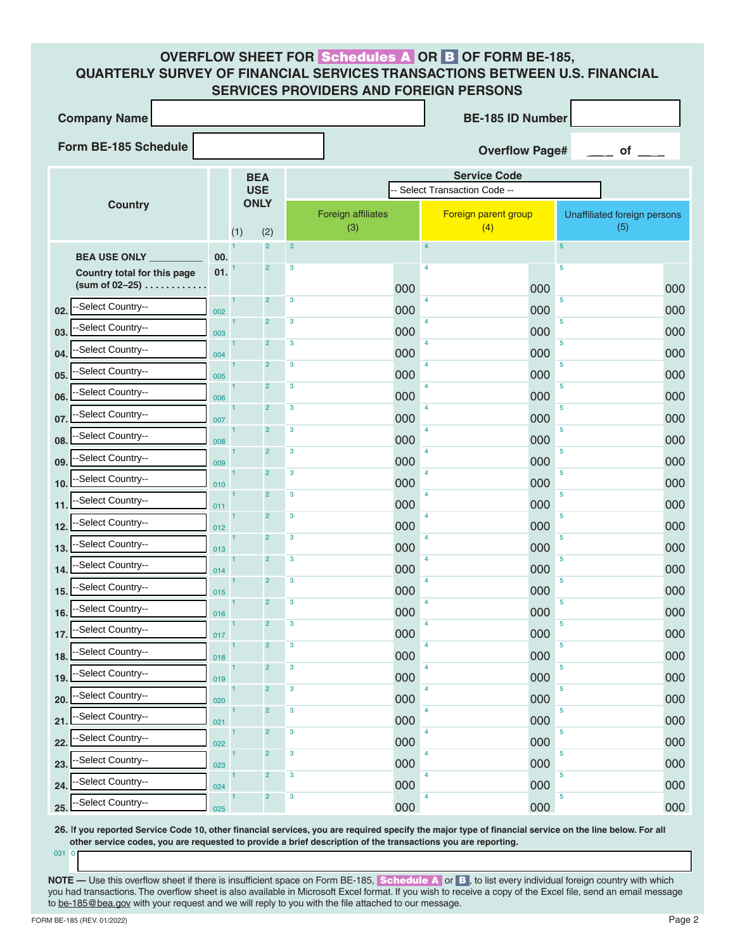## **OVERFLOW SHEET FOR** Schedules A **OR** B **OF FORM BE-185, QUARTERLY SURVEY OF FINANCIAL SERVICES TRANSACTIONS BETWEEN U.S. FINANCIAL SERVICES PROVIDERS AND FOREIGN PERSONS**

| <b>Company Name</b>                              |     |                           | <b>BE-185 ID Number</b> |                         |                           |     |                                                   |                                     |  |  |
|--------------------------------------------------|-----|---------------------------|-------------------------|-------------------------|---------------------------|-----|---------------------------------------------------|-------------------------------------|--|--|
| Form BE-185 Schedule                             |     |                           |                         |                         |                           |     | <b>Overflow Page#</b>                             | $\equiv$ of                         |  |  |
|                                                  |     | <b>BEA</b><br><b>USE</b>  |                         |                         |                           |     | <b>Service Code</b><br>Select Transaction Code -- |                                     |  |  |
| <b>Country</b>                                   |     | <b>ONLY</b><br>(2)<br>(1) |                         |                         | Foreign affiliates<br>(3) |     | Foreign parent group<br>(4)                       | Unaffiliated foreign persons<br>(5) |  |  |
| <b>BEA USE ONLY</b>                              | 00. |                           | $\overline{2}$          | $\mathbf{3}$            |                           |     | $\overline{5}$<br>$\overline{4}$                  |                                     |  |  |
| Country total for this page<br>(sum of $02-25$ ) | 01. |                           | $\overline{c}$          | $\overline{3}$          |                           | 000 | $\overline{5}$<br>4<br>000                        | 000                                 |  |  |
| -Select Country--<br>02.                         | 002 | $\overline{1}$            | $\overline{2}$          | $\mathbf{3}$            |                           | 000 | $\overline{5}$<br>4<br>000                        | 000                                 |  |  |
| -Select Country--<br>03.                         | 003 | $\overline{1}$            | $\overline{2}$          | $\overline{3}$          |                           | 000 | $\overline{5}$<br>4<br>000                        | 000                                 |  |  |
| Select Country--<br>04.                          | 004 | $\overline{1}$            | $\overline{2}$          | $\overline{\mathbf{3}}$ |                           | 000 | $\overline{5}$<br>4<br>000                        | 000                                 |  |  |
| -Select Country--<br>05.                         | 005 | $\vert$ 1                 | $\overline{2}$          | $\overline{3}$          |                           | 000 | $\overline{5}$<br>4<br>000                        | 000                                 |  |  |
| -Select Country--<br>06.                         | 006 | $\mathbf{1}$              | $\overline{2}$          | $\overline{\mathbf{3}}$ |                           | 000 | $\overline{5}$<br>4<br>000                        | 000                                 |  |  |
| -Select Country--<br>07.                         | 007 | $\overline{1}$            | $\overline{2}$          | $\overline{3}$          |                           | 000 | $\overline{5}$<br>4<br>000                        | 000                                 |  |  |
| Select Country--<br>08.                          | 008 | $\mathbf{1}$              | $\overline{2}$          | $\overline{\mathbf{3}}$ |                           | 000 | $\overline{5}$<br>4<br>000                        | 000                                 |  |  |
| -Select Country--<br>09.                         | 009 | $\overline{1}$            | $\overline{2}$          | $\overline{3}$          |                           | 000 | $\overline{5}$<br>4<br>000                        | 000                                 |  |  |
| Select Country--<br>10.                          | 010 | $\mathbf{1}$              | $\overline{2}$          | $\overline{\mathbf{3}}$ |                           | 000 | $\overline{5}$<br>4<br>000                        | 000                                 |  |  |
| Select Country--<br>11                           | 011 | $\overline{1}$            | $\overline{2}$          | $\overline{3}$          |                           | 000 | $\overline{5}$<br>4<br>000                        | 000                                 |  |  |
| Select Country--<br>12.                          | 012 | $\overline{1}$            | $\overline{2}$          | $\overline{\mathbf{3}}$ |                           | 000 | $\overline{5}$<br>4<br>000                        | 000                                 |  |  |
| Select Country--<br>13.                          | 013 | $\overline{1}$            | $\overline{2}$          | $\overline{3}$          |                           | 000 | $\overline{5}$<br>4<br>000                        | 000                                 |  |  |
| Select Country--<br>14.                          | 014 | $\overline{1}$            | $\overline{2}$          | $\overline{\mathbf{3}}$ |                           | 000 | $\overline{5}$<br>4<br>000                        | 000                                 |  |  |
| -Select Country--<br>15.                         | 015 | $\overline{1}$            | $\overline{2}$          | $\overline{3}$          |                           | 000 | $\overline{5}$<br>4<br>000                        | 000                                 |  |  |
| Select Country--<br>16.                          | 016 | $\mathbf{1}$              | $\overline{2}$          | $\overline{\mathbf{3}}$ |                           | 000 | $\overline{5}$<br>4<br>000                        | 000                                 |  |  |
| --Select Country--<br>17.                        | 017 | $\mathbf{1}$              | $\overline{2}$          | $\overline{3}$          |                           | 000 | $\overline{5}$<br>4<br>000                        | 000                                 |  |  |
| -Select Country--<br>18.                         | 018 | $\vert$ 1                 | $\overline{c}$          | $\overline{\mathbf{3}}$ |                           | 000 | $\overline{5}$<br>4<br>000                        | 000                                 |  |  |
| -Select Country--<br>19.                         | 019 | $\vert$ 1                 | $\overline{c}$          | $\overline{\mathbf{3}}$ |                           | 000 | $\overline{5}$<br>4<br>000                        | 000                                 |  |  |
| Select Country--<br>20.                          | 020 | $\mathbf{1}$              | $\overline{2}$          | $\overline{\mathbf{3}}$ |                           | 000 | $\overline{5}$<br>4<br>000                        | 000                                 |  |  |
| -Select Country--<br>21.                         | 021 | $\vert$ 1                 | $\overline{2}$          | $\overline{\mathbf{3}}$ |                           | 000 | $\overline{5}$<br>4<br>000                        | 000                                 |  |  |
| Select Country--<br>22.                          | 022 | $\vert$ 1                 | $\overline{2}$          | $\overline{\mathbf{3}}$ |                           | 000 | $\overline{5}$<br>4<br>000                        | 000                                 |  |  |
| Select Country--<br>23.                          | 023 | $\vert$ 1                 | $\overline{c}$          | $\overline{\mathbf{3}}$ |                           | 000 | $\overline{5}$<br>4<br>000                        | 000                                 |  |  |
| Select Country--<br>24.                          | 024 | $\mathbf{1}$              | $\overline{2}$          | $\overline{\mathbf{3}}$ |                           | 000 | $\overline{5}$<br>4<br>000                        | 000                                 |  |  |
| -Select Country--<br>25.                         | 025 | $\vert$ 1                 | $\overline{c}$          | $\overline{\mathbf{3}}$ |                           | 000 | 5<br>4<br>000                                     | 000                                 |  |  |

**26.** I**f you reported Service Code 10, other financial services, you are required specify the major type of financial service on the line below. For all other service codes, you are requested to provide a brief description of the transactions you are reporting.** 

0

**NOTE** — Use this overflow sheet if there is insufficient space on Form BE-185, **Schedule A** or B, to list every individual foreign country with which you had transactions. The overflow sheet is also available in Microsoft Excel format. If you wish to receive a copy of the Excel file, send an email message to be-185@bea.gov with your request and we will reply to you with the file attached to our message.